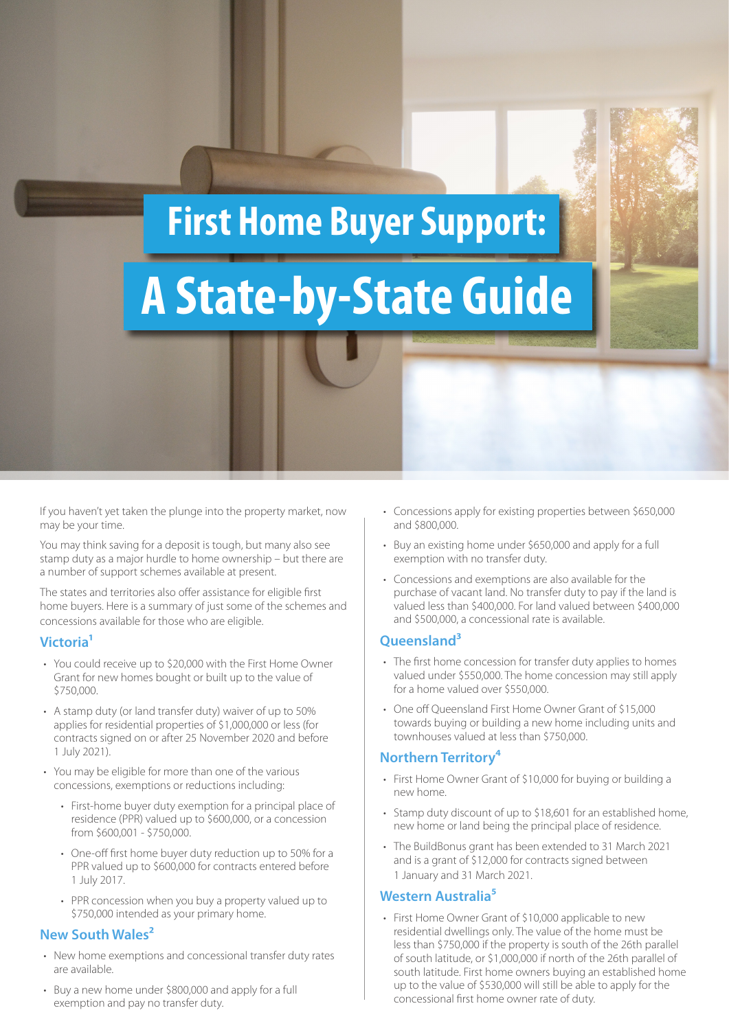### **First Home Buyer Support:**

# **A State-by-State Guide**

If you haven't yet taken the plunge into the property market, now may be your time.

You may think saving for a deposit is tough, but many also see stamp duty as a major hurdle to home ownership – but there are a number of support schemes available at present.

The states and territories also offer assistance for eligible first home buyers. Here is a summary of just some of the schemes and concessions available for those who are eligible.

#### **Victoria1**

- You could receive up to \$20,000 with the First Home Owner Grant for new homes bought or built up to the value of \$750,000.
- A stamp duty (or land transfer duty) waiver of up to 50% applies for residential properties of \$1,000,000 or less (for contracts signed on or after 25 November 2020 and before 1 July 2021).
- You may be eligible for more than one of the various concessions, exemptions or reductions including:
	- First-home buyer duty exemption for a principal place of residence (PPR) valued up to \$600,000, or a concession from \$600,001 - \$750,000.
	- One-off first home buyer duty reduction up to 50% for a PPR valued up to \$600,000 for contracts entered before 1 July 2017.
	- PPR concession when you buy a property valued up to \$750,000 intended as your primary home.

### **New South Wales2**

- New home exemptions and concessional transfer duty rates are available.
- Buy a new home under \$800,000 and apply for a full exemption and pay no transfer duty.
- Concessions apply for existing properties between \$650,000 and \$800,000.
- Buy an existing home under \$650,000 and apply for a full exemption with no transfer duty.
- Concessions and exemptions are also available for the purchase of vacant land. No transfer duty to pay if the land is valued less than \$400,000. For land valued between \$400,000 and \$500,000, a concessional rate is available.

### **Queensland3**

- The first home concession for transfer duty applies to homes valued under \$550,000. The home concession may still apply for a home valued over \$550,000.
- One off Queensland First Home Owner Grant of \$15,000 towards buying or building a new home including units and townhouses valued at less than \$750,000.

### **Northern Territory⁴**

- First Home Owner Grant of \$10,000 for buying or building a new home.
- Stamp duty discount of up to \$18,601 for an established home, new home or land being the principal place of residence.
- The BuildBonus grant has been extended to 31 March 2021 and is a grant of \$12,000 for contracts signed between 1 January and 31 March 2021.

### **Western Australia⁵**

• First Home Owner Grant of \$10,000 applicable to new residential dwellings only. The value of the home must be less than \$750,000 if the property is south of the 26th parallel of south latitude, or \$1,000,000 if north of the 26th parallel of south latitude. First home owners buying an established home up to the value of \$530,000 will still be able to apply for the concessional first home owner rate of duty.